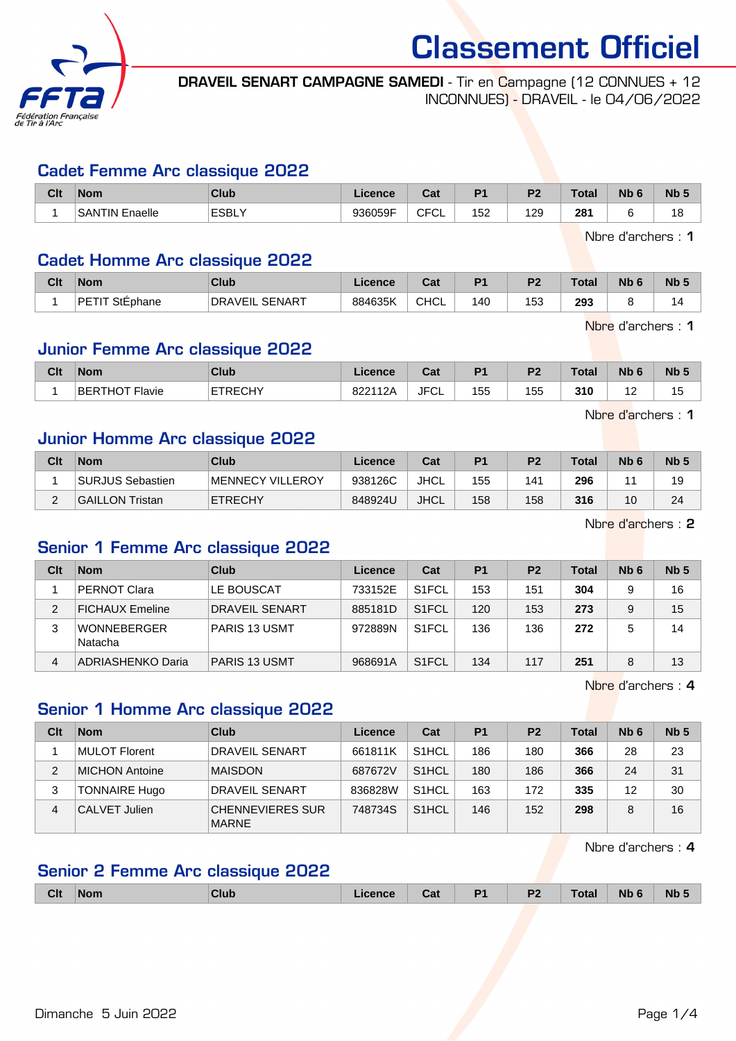

DRAVEIL SENART CAMPAGNE SAMEDI - Tir en Campagne (12 CONNUES + 12 INCONNUES) - DRAVEIL - le 04/06/2022

#### Cadet Femme Arc classique 2022

| Clt | <b>Nom</b>                 | <b>Club</b>  | Licence | <b>That</b><br>ual | D <sub>4</sub> | D <sub>0</sub> | Tota. | <b>Nb</b> | N <sub>b</sub> |
|-----|----------------------------|--------------|---------|--------------------|----------------|----------------|-------|-----------|----------------|
|     | <b>SANTIN E</b><br>Enaelle | <b>ESBL\</b> | 936059F | $\cap$<br>◡<br>◡∟  | 52             | 129            | 281   |           | 18             |

Nbre d'archers : 1

#### Cadet Homme Arc classique 2022

| Clt | <b>Nom</b>                | <b>Club</b>                | <b>Licence</b> | ∩^*<br>val  | P <sub>1</sub> | P <sub>2</sub> | <b>Total</b> | Nb | <b>N<sub>b</sub></b> |
|-----|---------------------------|----------------------------|----------------|-------------|----------------|----------------|--------------|----|----------------------|
|     | DE.<br>$\sim$<br>StEphane | . SENART<br><b>DRAVEIL</b> | 884635K        | <b>CHCL</b> | 40             | 153            | 293          |    |                      |

Nbre d'archers : 1

Nbre d'archers : 1

## Junior Femme Arc classique 2022

| Clt | <b>Nom</b>     | <b>Club</b>     | .icence | ่ ี่ ี่ ่า ่<br>uai | D <sub>4</sub> | D <sub>2</sub> | <b>Total</b> | Nb | <b>Nb</b> |
|-----|----------------|-----------------|---------|---------------------|----------------|----------------|--------------|----|-----------|
|     | BERTHOT Flavie | ETRECHY<br>. اب | 822112A | <b>JFCL</b>         | 155            | 155            | 310          | .  | ں ا       |

Junior Homme Arc classique 2022

| Clt | <b>Nom</b>       | Club             | Licence | Cat         | P <sub>1</sub> | P <sub>2</sub> | <b>Total</b> | N <sub>b</sub> 6 | N <sub>b</sub> <sub>5</sub> |
|-----|------------------|------------------|---------|-------------|----------------|----------------|--------------|------------------|-----------------------------|
|     | SURJUS Sebastien | MENNECY VILLEROY | 938126C | <b>JHCL</b> | 155            | 141            | 296          |                  | 19                          |
| -   | GAILLON Tristan  | <b>ETRECHY</b>   | 848924U | <b>JHCL</b> | 158            | 158            | 316          | 10               | 24                          |

Nbre d'archers : 2

#### Senior 1 Femme Arc classique 2022

| Clt | <b>Nom</b>             | Club                  | Licence | Cat                | P <sub>1</sub> | P <sub>2</sub> | Total | Nb <sub>6</sub> | Nb <sub>5</sub> |
|-----|------------------------|-----------------------|---------|--------------------|----------------|----------------|-------|-----------------|-----------------|
|     | <b>PERNOT Clara</b>    | LE BOUSCAT            | 733152E | S <sub>1</sub> FCL | 153            | 151            | 304   | 9               | 16              |
| 2   | <b>FICHAUX Emeline</b> | <b>DRAVEIL SENART</b> | 885181D | S <sub>1</sub> FCL | 120            | 153            | 273   | 9               | 15              |
|     | WONNEBERGER<br>Natacha | <b>PARIS 13 USMT</b>  | 972889N | S <sub>1</sub> FCL | 136            | 136            | 272   | 5               | 14              |
| 4   | ADRIASHENKO Daria      | <b>PARIS 13 USMT</b>  | 968691A | S <sub>1</sub> FCL | 134            | 117            | 251   | 8               | 13              |

Nbre d'archers : 4

#### Senior 1 Homme Arc classique 2022

| Clt | <b>Nom</b>            | Club                                    | Licence | Cat                | P <sub>1</sub> | P <sub>2</sub> | Total | N <sub>b</sub> 6 | Nb <sub>5</sub> |
|-----|-----------------------|-----------------------------------------|---------|--------------------|----------------|----------------|-------|------------------|-----------------|
|     | MULOT Florent         | <b>DRAVEIL SENART</b>                   | 661811K | S <sub>1</sub> HCL | 186            | 180            | 366   | 28               | 23              |
| 2   | <b>MICHON Antoine</b> | <b>MAISDON</b>                          | 687672V | S <sub>1</sub> HCL | 180            | 186            | 366   | 24               | 31              |
| 3   | <b>TONNAIRE Hugo</b>  | <b>DRAVEIL SENART</b>                   | 836828W | S <sub>1</sub> HCL | 163            | 172            | 335   | 12               | 30              |
| 4   | CALVET Julien         | <b>CHENNEVIERES SUR</b><br><b>MARNE</b> | 748734S | S <sub>1</sub> HCL | 146            | 152            | 298   |                  | 16              |

Nbre d'archers : 4

# Senior 2 Femme Arc classique 2022

| <b>Clt</b><br>P <sub>2</sub><br><b>N<sub>b</sub></b><br><b>Nb</b><br><b>Total</b><br><b>Nom</b><br>Club<br>Cat<br>Licence<br>- |
|--------------------------------------------------------------------------------------------------------------------------------|
|--------------------------------------------------------------------------------------------------------------------------------|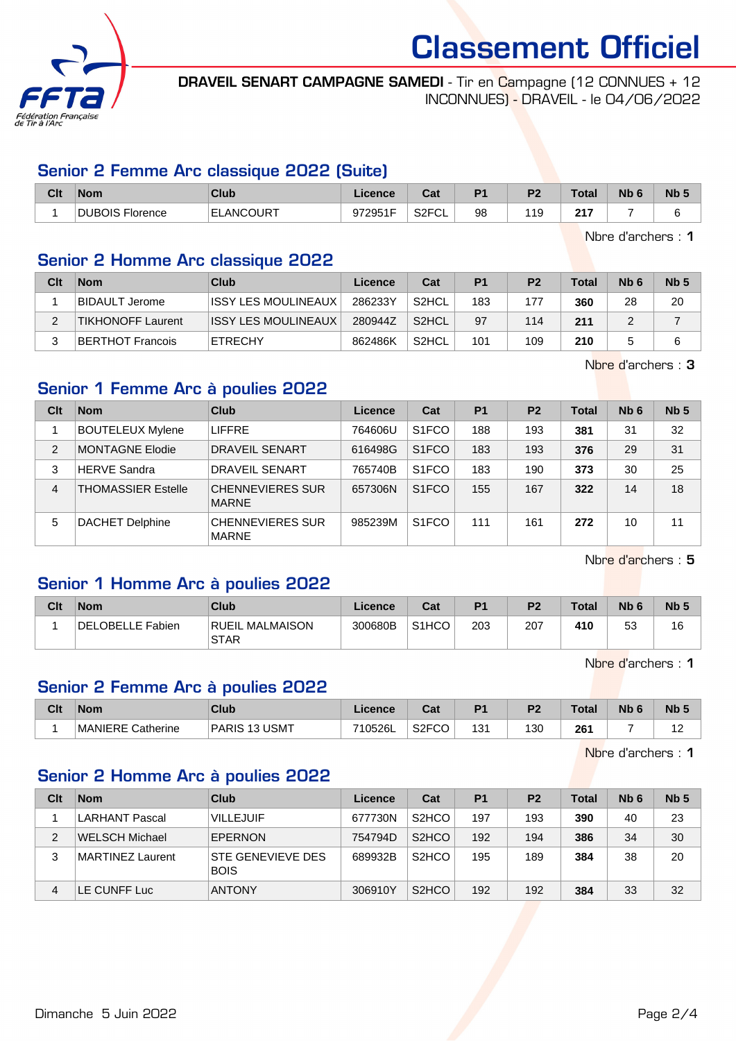

DRAVEIL SENART CAMPAGNE SAMEDI - Tir en Campagne (12 CONNUES + 12 INCONNUES) - DRAVEIL - le 04/06/2022

## Senior 2 Femme Arc classique 2022 (Suite)

| Clt | <b>Nom</b>                           | Club              | Licence | r.<br>ual                  | D <sub>1</sub> | <b>D7</b> | <b>Total</b> | <b>Nb</b> | Nb <sub>5</sub> |
|-----|--------------------------------------|-------------------|---------|----------------------------|----------------|-----------|--------------|-----------|-----------------|
|     | <b>DUBOIS FIG</b><br><b>Florence</b> | <b>IELANCOURT</b> | 972951F | <b>ROECLE</b><br>ا∠ت<br>◡∟ | 98             | 11 C<br>. | 247<br>2 I I |           |                 |

Nbre d'archers : 1

## Senior 2 Homme Arc classique 2022

| Clt | <b>Nom</b>               | Club                 | Licence | Cat                | P <sub>1</sub> | P <sub>2</sub> | Total | N <sub>b</sub> 6 | Nb <sub>5</sub> |
|-----|--------------------------|----------------------|---------|--------------------|----------------|----------------|-------|------------------|-----------------|
|     | BIDAULT Jerome           | IISSY LES MOULINEAUX | 286233Y | S2HCL              | 183            | 177            | 360   | 28               | 20              |
|     | <b>TIKHONOFF Laurent</b> | ISSY LES MOULINEAUX  | 280944Z | S <sub>2</sub> HCL | 97             | 114            | 211   |                  |                 |
|     | BERTHOT Francois         | <b>ETRECHY</b>       | 862486K | S2HCL              | 101            | 109            | 210   |                  | 6               |

Nbre d'archers : 3

# Senior 1 Femme Arc à poulies 2022

| Clt            | <b>Nom</b>                | Club                                    | Licence | Cat                            | P <sub>1</sub> | P <sub>2</sub> | <b>Total</b> | Nb <sub>6</sub> | Nb <sub>5</sub> |
|----------------|---------------------------|-----------------------------------------|---------|--------------------------------|----------------|----------------|--------------|-----------------|-----------------|
|                | <b>BOUTELEUX Mylene</b>   | <b>LIFFRE</b>                           | 764606U | S <sub>1</sub> FCO             | 188            | 193            | 381          | 31              | 32              |
| $\overline{2}$ | <b>MONTAGNE Elodie</b>    | DRAVEIL SENART                          | 616498G | S <sub>1</sub> FCO             | 183            | 193            | 376          | 29              | 31              |
| 3              | <b>HERVE Sandra</b>       | DRAVEIL SENART                          | 765740B | S <sub>1</sub> FCO             | 183            | 190            | 373          | 30              | 25              |
| $\overline{4}$ | <b>THOMASSIER Estelle</b> | <b>CHENNEVIERES SUR</b><br><b>MARNE</b> | 657306N | S <sub>1</sub> F <sub>CO</sub> | 155            | 167            | 322          | 14              | 18              |
| 5              | DACHET Delphine           | <b>CHENNEVIERES SUR</b><br><b>MARNE</b> | 985239M | S <sub>1</sub> FCO             | 111            | 161            | 272          | 10              | 11              |

Nbre d'archers : 5

# Senior 1 Homme Arc à poulies 2022

| Clt | <b>Nom</b>       | Club                           | Licence | Cat                | P <sub>1</sub> | P <sub>2</sub> | <b>Total</b> | N <sub>b</sub> <sub>6</sub> | Nb <sub>5</sub> |
|-----|------------------|--------------------------------|---------|--------------------|----------------|----------------|--------------|-----------------------------|-----------------|
|     | DELOBELLE Fabien | RUEIL MALMAISON<br><b>STAR</b> | 300680B | S <sub>1</sub> HCO | 203            | 207            | 410          | r c<br>$\sim$<br>vu         | 16              |

Nbre d'archers : 1

# Senior 2 Femme Arc à poulies 2022

| Clt | Nom                     | Club                                 | Licence | יפ<br>⊍a                 | D <sub>1</sub> | D <sub>2</sub> | <b>Total</b> | Nb | <b>N<sub>b</sub></b> |
|-----|-------------------------|--------------------------------------|---------|--------------------------|----------------|----------------|--------------|----|----------------------|
|     | !MANIERE (<br>Catherine | <b>USMT</b><br><b>PARIS</b><br>- 1 2 | 710526L | S <sub>2</sub> FCO<br>◡◡ | ہ وا<br>ا ت    | 130            | 261          |    |                      |

Nbre d'archers : 1

#### Senior 2 Homme Arc à poulies 2022

| Clt | <b>Nom</b>            | Club                             | Licence | Cat                             | P <sub>1</sub> | P <sub>2</sub> | <b>Total</b> | N <sub>b</sub> 6 | Nb <sub>5</sub> |
|-----|-----------------------|----------------------------------|---------|---------------------------------|----------------|----------------|--------------|------------------|-----------------|
|     | <b>LARHANT Pascal</b> | <b>VILLEJUIF</b>                 | 677730N | S <sub>2</sub> H <sub>C</sub> O | 197            | 193            | 390          | 40               | 23              |
| 2   | WELSCH Michael        | EPERNON                          | 754794D | S <sub>2</sub> H <sub>C</sub> O | 192            | 194            | 386          | 34               | 30              |
| 3   | MARTINEZ Laurent      | STE GENEVIEVE DES<br><b>BOIS</b> | 689932B | S <sub>2</sub> H <sub>CO</sub>  | 195            | 189            | 384          | 38               | 20              |
| 4   | LE CUNFF Luc          | <b>ANTONY</b>                    | 306910Y | S <sub>2</sub> H <sub>C</sub> O | 192            | 192            | 384          | 33               | 32              |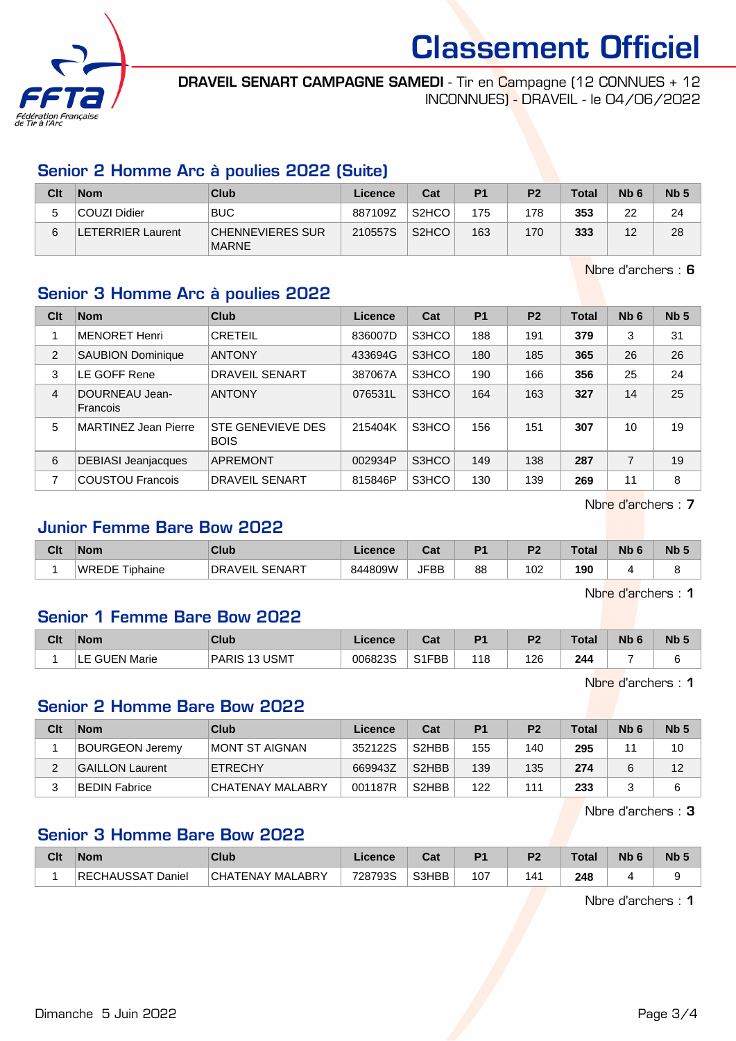

DRAVEIL SENART CAMPAGNE SAMEDI - Tir en Campagne (12 CONNUES + 12 INCONNUES) - DRAVEIL - le 04/06/2022

# Senior 2 Homme Arc à poulies 2022 (Suite)

| Clt | <b>Nom</b>              | Club                                    | Licence | Cat                            | P <sub>1</sub> | P <sub>2</sub> | <b>Total</b> | N <sub>b</sub> 6 | Nb <sub>5</sub> |
|-----|-------------------------|-----------------------------------------|---------|--------------------------------|----------------|----------------|--------------|------------------|-----------------|
|     | COUZI Didier            | <b>BUC</b>                              | 887109Z | S <sub>2</sub> H <sub>CO</sub> | 175            | 178            | 353          | 22               | 24              |
| 6   | <b>ETERRIER Laurent</b> | <b>CHENNEVIERES SUR</b><br><b>MARNE</b> | 210557S | S <sub>2</sub> HCO             | 163            | 170            | 333          | 12               | 28              |

Nbre d'archers : 6

# Senior 3 Homme Arc à poulies 2022

| Clt            | <b>Nom</b>                  | Club                             | Licence | Cat   | P <sub>1</sub> | P <sub>2</sub> | <b>Total</b> | Nb <sub>6</sub> | Nb <sub>5</sub> |
|----------------|-----------------------------|----------------------------------|---------|-------|----------------|----------------|--------------|-----------------|-----------------|
|                | <b>MENORET Henri</b>        | <b>CRETEIL</b>                   | 836007D | S3HCO | 188            | 191            | 379          | 3               | 31              |
| $\overline{2}$ | <b>SAUBION Dominique</b>    | <b>ANTONY</b>                    | 433694G | S3HCO | 180            | 185            | 365          | 26              | 26              |
| 3              | LE GOFF Rene                | <b>DRAVEIL SENART</b>            | 387067A | S3HCO | 190            | 166            | 356          | 25              | 24              |
| 4              | DOURNEAU Jean-<br>Francois  | <b>ANTONY</b>                    | 076531L | S3HCO | 164            | 163            | 327          | 14              | 25              |
| 5              | <b>MARTINEZ Jean Pierre</b> | STE GENEVIEVE DES<br><b>BOIS</b> | 215404K | S3HCO | 156            | 151            | 307          | 10              | 19              |
| 6              | <b>DEBIASI Jeanjacques</b>  | <b>APREMONT</b>                  | 002934P | S3HCO | 149            | 138            | 287          | 7               | 19              |
| 7              | <b>COUSTOU Francois</b>     | <b>DRAVEIL SENART</b>            | 815846P | S3HCO | 130            | 139            | 269          | 11              | 8               |

Nbre d'archers : 7

#### Junior Femme Bare Bow 2022

| Clt | <b>Nom</b>     | <b>Club</b>              | Licence | <b>That is a fact of the owner.</b><br>ual | D4 | ng. | $\tau$ otal | <b>N<sub>b</sub></b> | N <sub>b</sub> 5 |
|-----|----------------|--------------------------|---------|--------------------------------------------|----|-----|-------------|----------------------|------------------|
|     | WREDE Tiphaine | SENART<br><b>DRAVEIL</b> | 844809W | <b>JFBB</b>                                | 88 | 02  | 190         |                      |                  |

Nbre d'archers : 1

#### Senior 1 Femme Bare Bow 2022

| Clt | <b>Nom</b>      | Club                                          | Licence | ◠∼<br>⊍aι     | P <sub>1</sub> | P <sub>2</sub> | Total | <b>Nb</b> | N <sub>b</sub> <sub>5</sub> |
|-----|-----------------|-----------------------------------------------|---------|---------------|----------------|----------------|-------|-----------|-----------------------------|
|     | GUEN Marie<br>ᅩ | <b>USMT</b><br><b>PARIS</b><br>- 12<br>. I 13 | 006823S | S1FBB<br>۱۱ پ | 118            | 126            | 244   |           | -                           |

Nbre d'archers : 1

#### Senior 2 Homme Bare Bow 2022

| Clt | <b>Nom</b>             | Club             | Licence | Cat                            | P <sub>1</sub> | P <sub>2</sub> | Total | N <sub>b</sub> 6 | Nb <sub>5</sub> |
|-----|------------------------|------------------|---------|--------------------------------|----------------|----------------|-------|------------------|-----------------|
|     | <b>BOURGEON Jeremy</b> | IMONT ST AIGNAN  | 352122S | S <sub>2</sub> HBB             | 155            | 140            | 295   |                  | 10              |
|     | <b>GAILLON Laurent</b> | <b>ETRECHY</b>   | 669943Z | S <sub>2</sub> H <sub>BB</sub> | 139            | 135            | 274   |                  | 12              |
|     | BEDIN Fabrice          | CHATENAY MALABRY | 001187R | S <sub>2</sub> H <sub>BB</sub> | 122            | 111            | 233   |                  | 6               |

Nbre d'archers : 3

# Senior 3 Homme Bare Bow 2022

| Clt | <b>Nom</b>        | Club                  | Licence | ◠؞+<br>'val | D4  | D <sub>2</sub> | Total | <b>Nb</b> | Nb <sub>5</sub> |
|-----|-------------------|-----------------------|---------|-------------|-----|----------------|-------|-----------|-----------------|
|     | RECHAUSSAT Daniel | CHATENAY MAL<br>_ABRY | 728793S | S3HBB       | 107 | '4             | 248   |           |                 |

Nbre d'archers : 1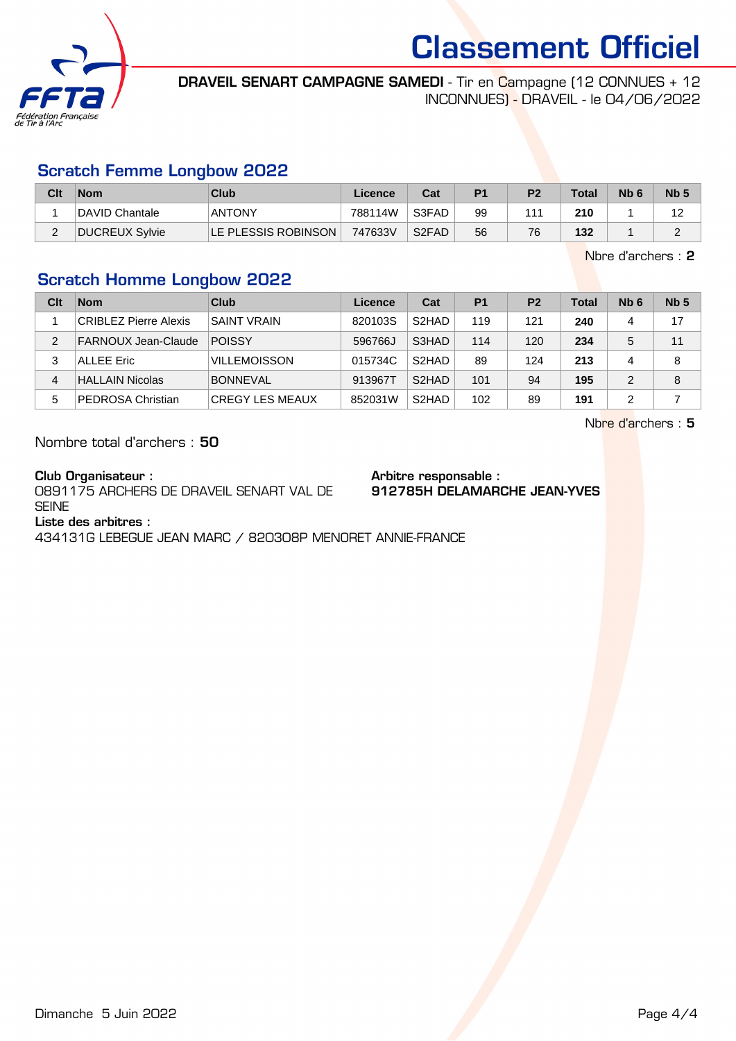

DRAVEIL SENART CAMPAGNE SAMEDI - Tir en Campagne (12 CONNUES + 12 INCONNUES) - DRAVEIL - le 04/06/2022

#### Scratch Femme Longbow 2022

| Clt | <b>Nom</b>     | Club                | Licence | Cat                | P <sub>1</sub> | P <sub>2</sub> | Total | N <sub>b</sub> 6 | N <sub>b</sub> <sub>5</sub> |
|-----|----------------|---------------------|---------|--------------------|----------------|----------------|-------|------------------|-----------------------------|
|     | DAVID Chantale | <b>ANTONY</b>       | 788114W | S3FAD              | 99             | 111            | 210   |                  |                             |
|     | DUCREUX Sylvie | LE PLESSIS ROBINSON | 747633V | S <sub>2</sub> FAD | 56             | 76             | 132   |                  |                             |

Nbre d'archers : 2

# Scratch Homme Longbow 2022

| Clt | <b>Nom</b>                   | Club                   | Licence | Cat                | P <sub>1</sub> | P <sub>2</sub> | Total | N <sub>b</sub> 6 | Nb <sub>5</sub> |
|-----|------------------------------|------------------------|---------|--------------------|----------------|----------------|-------|------------------|-----------------|
|     | <b>CRIBLEZ Pierre Alexis</b> | <b>SAINT VRAIN</b>     | 820103S | S <sub>2</sub> HAD | 119            | 121            | 240   | 4                | 17              |
| 2   | FARNOUX Jean-Claude          | POISSY                 | 596766J | S3HAD              | 114            | 120            | 234   | 5                | 11              |
| 3   | <b>ALLEE Eric</b>            | <b>VILLEMOISSON</b>    | 015734C | S <sub>2</sub> HAD | 89             | 124            | 213   | 4                | 8               |
| 4   | <b>HALLAIN Nicolas</b>       | <b>BONNEVAL</b>        | 913967T | S <sub>2</sub> HAD | 101            | 94             | 195   | $\mathcal{P}$    | 8               |
| 5   | <b>PEDROSA Christian</b>     | <b>CREGY LES MEAUX</b> | 852031W | S <sub>2</sub> HAD | 102            | 89             | 191   | 2                |                 |

Nbre d'archers : 5

Nombre total d'archers : 50

Club Organisateur :

0891175 ARCHERS DE DRAVEIL SENART VAL DE **SEINE** 

Arbitre responsable : 912785H DELAMARCHE JEAN-YVES

Liste des arbitres :

434131G LEBEGUE JEAN MARC / 820308P MENORET ANNIE-FRANCE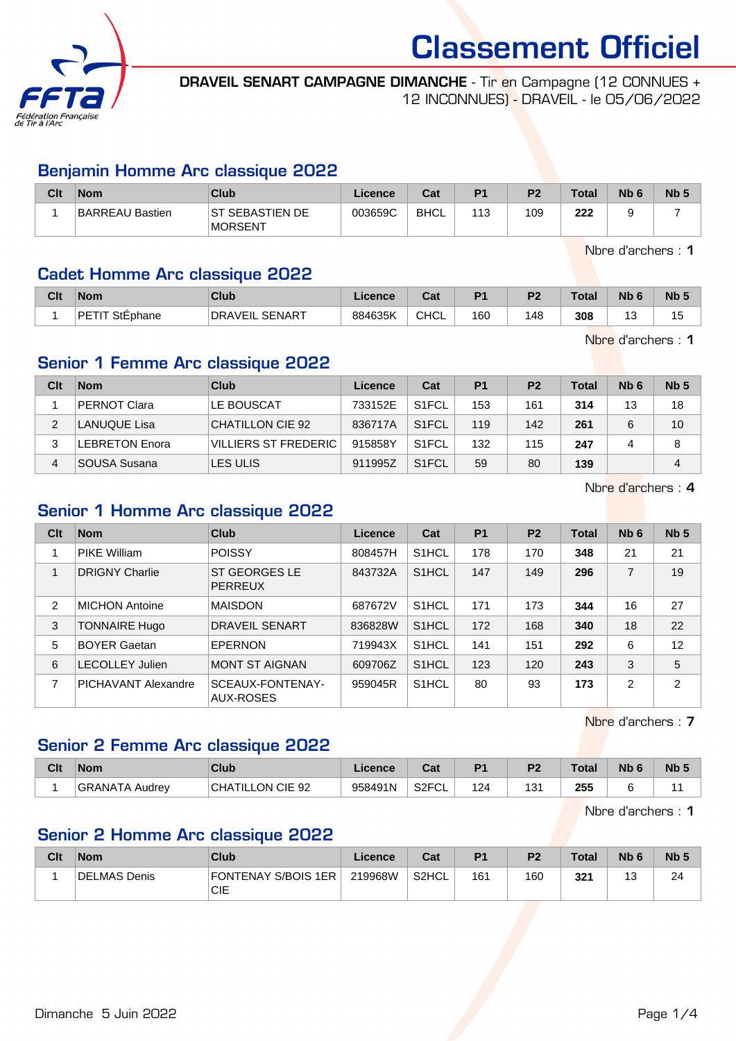

DRAVEIL SENART CAMPAGNE DIMANCHE - Tir en Campagne (12 CONNUES + 12 INCONNUES) - DRAVEIL - le 05/06/2022

## Benjamin Homme Arc classique 2022

| Clt | <b>Nom</b>      | Club                               | Licence | Cat  | P <sub>1</sub> | P <sub>2</sub> | <b>Total</b> | N <sub>b</sub> <sub>6</sub> | N <sub>b</sub> 5 |
|-----|-----------------|------------------------------------|---------|------|----------------|----------------|--------------|-----------------------------|------------------|
|     | BARREAU Bastien | IST SEBASTIEN DE<br><b>MORSENT</b> | 003659C | BHCL | 113            | 109            | 222          |                             |                  |

Nbre d'archers : 1

#### Cadet Homme Arc classique 2022

| Clt | <b>Nom</b>               | Club                            | Licence | ◠∼<br>ua    | D <sub>4</sub> | D <sub>0</sub> | <b>Total</b> | <b>N<sub>b</sub></b> | Nb <sub>5</sub> |
|-----|--------------------------|---------------------------------|---------|-------------|----------------|----------------|--------------|----------------------|-----------------|
|     | <b>DETIT</b><br>StEphane | <b>SENART</b><br><b>DRAVEIL</b> | 884635K | <b>CHCL</b> | 160            | 148            | 308          | ں ا<br>$\sim$        | 15<br>ט ו       |

Nbre d'archers : 1

## Senior 1 Femme Arc classique 2022

| Clt | <b>Nom</b>            | Club                        | Licence | Cat                | <b>P1</b> | P <sub>2</sub> | Total | N <sub>b</sub> 6 | Nb <sub>5</sub> |
|-----|-----------------------|-----------------------------|---------|--------------------|-----------|----------------|-------|------------------|-----------------|
|     | <b>PERNOT Clara</b>   | LE BOUSCAT                  | 733152E | S <sub>1</sub> FCL | 153       | 161            | 314   | 13               | 18              |
| 2   | <b>LANUQUE Lisa</b>   | CHATILLON CIE 92            | 836717A | S <sub>1</sub> FCL | 119       | 142            | 261   |                  | 10              |
| 3   | <b>LEBRETON Enora</b> | <b>VILLIERS ST FREDERIC</b> | 915858Y | S <sub>1</sub> FCL | 132       | 115            | 247   |                  | 8               |
|     | SOUSA Susana          | LES ULIS                    | 911995Z | S <sub>1</sub> FCL | 59        | 80             | 139   |                  | 4               |

Nbre d'archers : 4

# Senior 1 Homme Arc classique 2022

| Clt | <b>Nom</b>                 | Club                                   | Licence | Cat                | <b>P1</b> | P <sub>2</sub> | <b>Total</b> | Nb <sub>6</sub> | Nb <sub>5</sub> |
|-----|----------------------------|----------------------------------------|---------|--------------------|-----------|----------------|--------------|-----------------|-----------------|
|     | <b>PIKE William</b>        | <b>POISSY</b>                          | 808457H | S <sub>1</sub> HCL | 178       | 170            | 348          | 21              | 21              |
|     | <b>DRIGNY Charlie</b>      | <b>ST GEORGES LE</b><br><b>PERREUX</b> | 843732A | S <sub>1</sub> HCL | 147       | 149            | 296          | $\overline{7}$  | 19              |
| 2   | <b>MICHON Antoine</b>      | <b>MAISDON</b>                         | 687672V | S <sub>1</sub> HCL | 171       | 173            | 344          | 16              | 27              |
| 3   | <b>TONNAIRE Hugo</b>       | <b>DRAVEIL SENART</b>                  | 836828W | S <sub>1</sub> HCL | 172       | 168            | 340          | 18              | 22              |
| 5   | <b>BOYER Gaetan</b>        | EPERNON                                | 719943X | S <sub>1</sub> HCL | 141       | 151            | 292          | 6               | 12              |
| 6   | <b>LECOLLEY Julien</b>     | <b>MONT ST AIGNAN</b>                  | 609706Z | S <sub>1</sub> HCL | 123       | 120            | 243          | 3               | 5               |
| 7   | <b>PICHAVANT Alexandre</b> | SCEAUX-FONTENAY-<br>AUX-ROSES          | 959045R | S <sub>1</sub> HCL | 80        | 93             | 173          | 2               | $\overline{2}$  |

Nbre d'archers : 7

# Senior 2 Femme Arc classique 2022

| Clt | <b>Nom</b>            | Club                                | ∟icence | r.<br>sal                 | D <sub>1</sub> | P <sub>2</sub> | <b>Total</b> | Nb <sub>6</sub> | Nb |
|-----|-----------------------|-------------------------------------|---------|---------------------------|----------------|----------------|--------------|-----------------|----|
|     | <b>GRANATA Audrey</b> | <b>CIE 92</b><br><b>CHATILLON (</b> | 958491N | S <sub>2</sub> FCL<br>−∪∟ | 124            | ، م<br>، ن     | 255          |                 |    |

Nbre d'archers : 1

# Senior 2 Homme Arc classique 2022

| Clt | <b>Nom</b>   | <b>Club</b>                | Licence | Cat   | P <sub>1</sub> | P <sub>2</sub> | <b>Total</b> | N <sub>b</sub> 6 | Nb ! |
|-----|--------------|----------------------------|---------|-------|----------------|----------------|--------------|------------------|------|
|     | DELMAS Denis | FONTENAY S/BOIS 1ER<br>CIE | 219968W | S2HCL | 161            | 160            | 321          | $\sqrt{2}$<br>J  | 24   |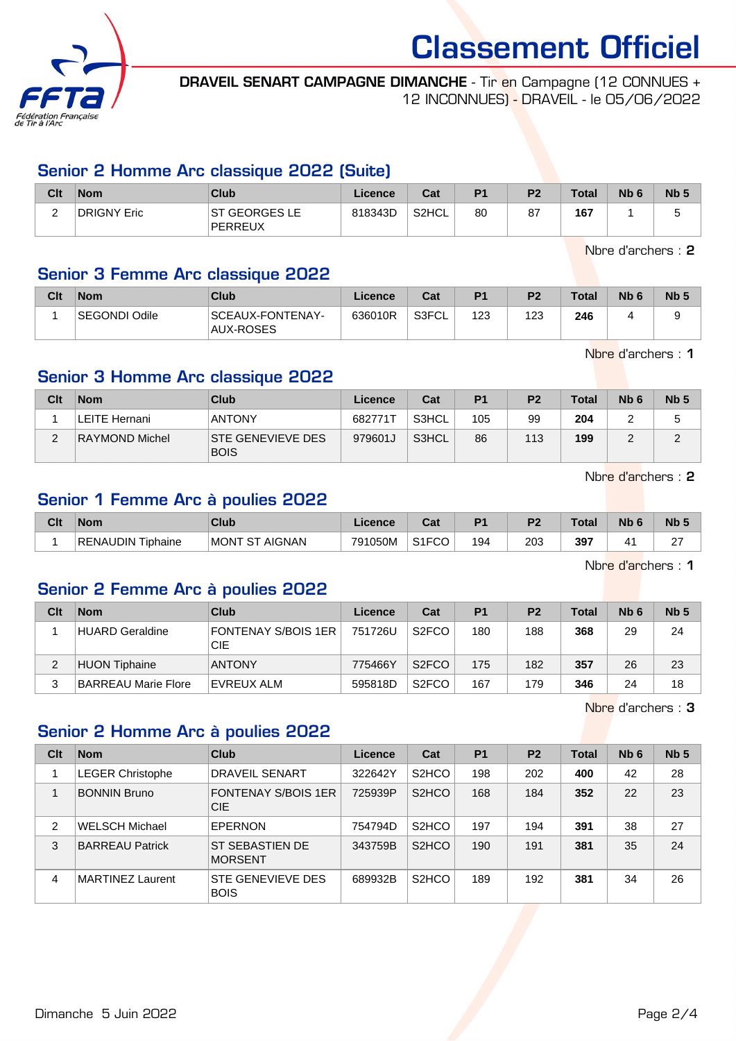

DRAVEIL SENART CAMPAGNE DIMANCHE - Tir en Campagne (12 CONNUES + 12 INCONNUES) - DRAVEIL - le 05/06/2022

## Senior 2 Homme Arc classique 2022 (Suite)

| Clt    | <b>Nom</b>  | Club                      | Licence | Cat   | P1 | P <sub>2</sub> | <b>Total</b> | N <sub>b</sub> t | Nb <sub>5</sub> |
|--------|-------------|---------------------------|---------|-------|----|----------------|--------------|------------------|-----------------|
| ⌒<br>_ | DRIGNY Eric | IST GEORGES LE<br>PERREUX | 818343D | S2HCL | 80 | 87             | 167          |                  | s.              |

Nbre d'archers : 2

## Senior 3 Femme Arc classique 2022

| Clt | <b>Nom</b>    | Club                                 | Licence | Cat   | P <sub>1</sub> | P <sub>2</sub> | <b>Total</b> | N <sub>b</sub> 6 | Nb <sub>5</sub> |
|-----|---------------|--------------------------------------|---------|-------|----------------|----------------|--------------|------------------|-----------------|
|     | SEGONDI Odile | SCEAUX-FONTENAY-<br><b>AUX-ROSES</b> | 636010R | S3FCL | 123            | 123            | 246          |                  | s.              |

Nbre d'archers : 1

# Senior 3 Homme Arc classique 2022

| Clt    | <b>Nom</b>            | Club                                    | Licence | Cat   | P <sub>1</sub> | P <sub>2</sub> | <b>Total</b> | Nb <sub>6</sub> | Nb <sub>5</sub> |
|--------|-----------------------|-----------------------------------------|---------|-------|----------------|----------------|--------------|-----------------|-----------------|
|        | LEITE Hernani         | <b>ANTONY</b>                           | 682771T | S3HCL | 105            | 99             | 204          |                 |                 |
| $\sim$ | <b>RAYMOND Michel</b> | <b>STE GENEVIEVE DES</b><br><b>BOIS</b> | 979601J | S3HCL | 86             | 113            | 199          |                 |                 |

Nbre d'archers : 2

# Senior 1 Femme Arc à poulies 2022

| Clt | <b>Nom</b>           | Club                                 | Licence | ◠⌒:<br>⊍a          | D <sub>4</sub> | D <sup>o</sup> | Total | <b>Nb</b> | Nb <sub>5</sub> |
|-----|----------------------|--------------------------------------|---------|--------------------|----------------|----------------|-------|-----------|-----------------|
|     | RENAUDIN<br>Tiphaine | <b>AIGNAN</b><br><b>MONT</b><br>. ST | 791050M | S <sub>1</sub> FCO | 194            | 203            | 397   | 4         | ~<br><u>.</u>   |

Nbre d'archers : 1

#### Senior 2 Femme Arc à poulies 2022

| Clt | <b>Nom</b>                 | Club                              | Licence | Cat                | P <sub>1</sub> | P <sub>2</sub> | <b>Total</b> | N <sub>b</sub> 6 | Nb <sub>5</sub> |
|-----|----------------------------|-----------------------------------|---------|--------------------|----------------|----------------|--------------|------------------|-----------------|
|     | <b>HUARD Geraldine</b>     | <b>FONTENAY S/BOIS 1ER</b><br>CIE | 751726U | S <sub>2</sub> FCO | 180            | 188            | 368          | 29               | 24              |
|     | <b>HUON Tiphaine</b>       | <b>ANTONY</b>                     | 775466Y | S <sub>2</sub> FCO | 175            | 182            | 357          | 26               | 23              |
|     | <b>BARREAU Marie Flore</b> | EVREUX ALM                        | 595818D | S <sub>2</sub> FCO | 167            | 179            | 346          | 24               | 18              |

Nbre d'archers : 3

# Senior 2 Homme Arc à poulies 2022

| Clt            | <b>Nom</b>              | Club                              | Licence | Cat                             | P <sub>1</sub> | P <sub>2</sub> | <b>Total</b> | Nb <sub>6</sub> | Nb <sub>5</sub> |
|----------------|-------------------------|-----------------------------------|---------|---------------------------------|----------------|----------------|--------------|-----------------|-----------------|
|                | <b>LEGER Christophe</b> | DRAVEIL SENART                    | 322642Y | S <sub>2</sub> HCO              | 198            | 202            | 400          | 42              | 28              |
|                | <b>BONNIN Bruno</b>     | <b>FONTENAY S/BOIS 1ER</b><br>CIE | 725939P | S <sub>2</sub> HCO              | 168            | 184            | 352          | 22              | 23              |
| $\overline{2}$ | <b>WELSCH Michael</b>   | <b>EPERNON</b>                    | 754794D | S <sub>2</sub> HCO              | 197            | 194            | 391          | 38              | 27              |
| 3              | <b>BARREAU Patrick</b>  | ST SEBASTIEN DE<br><b>MORSENT</b> | 343759B | S <sub>2</sub> H <sub>C</sub> O | 190            | 191            | 381          | 35              | 24              |
| 4              | <b>MARTINEZ Laurent</b> | STE GENEVIEVE DES<br><b>BOIS</b>  | 689932B | S <sub>2</sub> H <sub>CO</sub>  | 189            | 192            | 381          | 34              | 26              |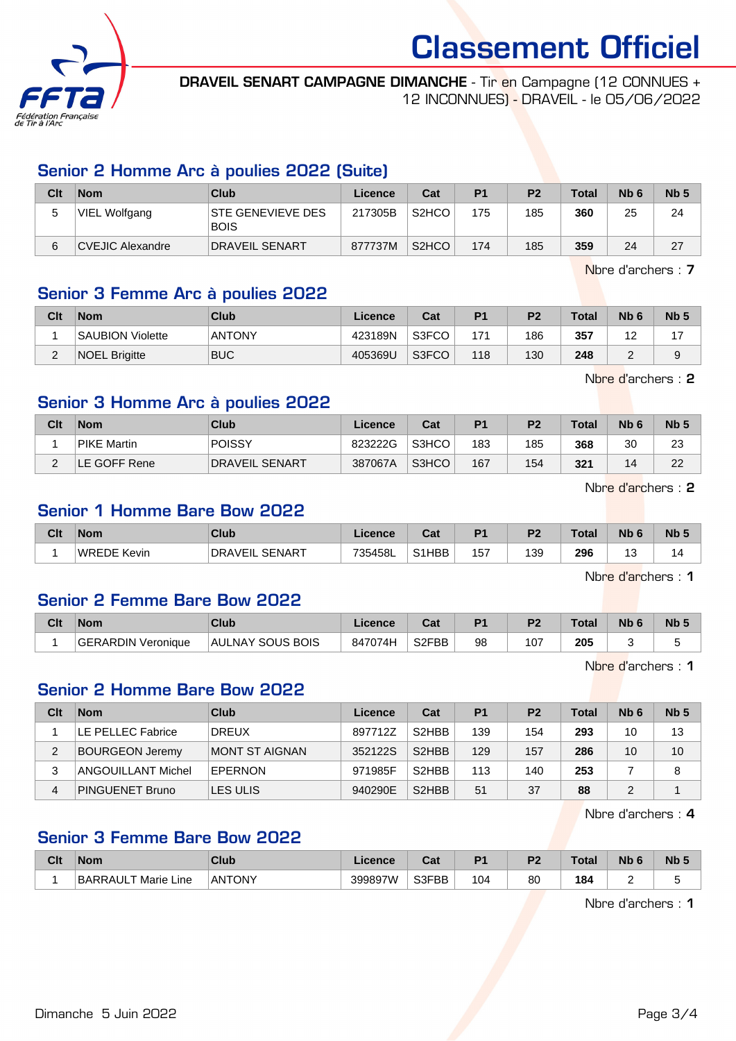

DRAVEIL SENART CAMPAGNE DIMANCHE - Tir en Campagne (12 CONNUES + 12 INCONNUES) - DRAVEIL - le 05/06/2022

## Senior 2 Homme Arc à poulies 2022 (Suite)

| Clt    | <b>Nom</b>       | Club                                    | Licence | Cat                            | P <sub>1</sub> | P <sub>2</sub> | <b>Total</b> | N <sub>b</sub> 6 | Nb <sub>5</sub> |
|--------|------------------|-----------------------------------------|---------|--------------------------------|----------------|----------------|--------------|------------------|-----------------|
| π<br>ັ | VIEL Wolfgang    | <b>STE GENEVIEVE DES</b><br><b>BOIS</b> | 217305B | S <sub>2</sub> H <sub>CO</sub> | 175            | 185            | 360          | 25               | 24              |
| 6      | CVEJIC Alexandre | <b>DRAVEIL SENART</b>                   | 877737M | S <sub>2</sub> HCO             | 174            | 185            | 359          | 24               | 27              |

Nbre d'archers : 7

# Senior 3 Femme Arc à poulies 2022

| Clt | <b>Nom</b>              | Club          | Licence | Cat   | D <sub>1</sub> | P <sub>2</sub> | <b>Total</b> | Nb <sub>6</sub> | Nb <sub>5</sub> |
|-----|-------------------------|---------------|---------|-------|----------------|----------------|--------------|-----------------|-----------------|
|     | <b>SAUBION Violette</b> | <b>ANTONY</b> | 423189N | S3FCO | 171            | 186            | 357          | . .             |                 |
| _   | <b>NOEL Brigitte</b>    | <b>BUC</b>    | 405369U | S3FCO | 118            | 130            | 248          |                 |                 |

Nbre d'archers : 2

# Senior 3 Homme Arc à poulies 2022

| Clt           | <b>Nom</b>         | Club           | Licence | Cat   | P <sub>1</sub> | P <sub>2</sub> | <b>Total</b> | N <sub>b</sub> 6 | Nb <sub>5</sub> |
|---------------|--------------------|----------------|---------|-------|----------------|----------------|--------------|------------------|-----------------|
|               | <b>PIKE Martin</b> | <b>POISSY</b>  | 823222G | S3HCO | 183            | 185            | 368          | 30               | 23              |
| C<br><u>.</u> | LE GOFF Rene       | DRAVEIL SENART | 387067A | S3HCO | 167            | 154            | 321          |                  | 22              |

Nbre d'archers : 2

# Senior 1 Homme Bare Bow 2022

| Clt | <b>Nom</b>  | Club                            | icence  | ີລະ<br>⊍a⊧         | D <sub>4</sub> | D <sub>2</sub> | <b>Total</b> | Nb | <b>Nb</b> |
|-----|-------------|---------------------------------|---------|--------------------|----------------|----------------|--------------|----|-----------|
|     | WREDE Kevin | <b>SENART</b><br><b>DRAVEIL</b> | 735458L | S <sub>1</sub> HBB | 157            | 139            | 296<br>$-$   | ັ  |           |

Nbre d'archers : 1

#### Senior 2 Femme Bare Bow 2022

| Clt | <b>Nom</b>         | Club             | Licence | ua                 | D <sub>1</sub> | P2  | <b>Total</b> | Nb 6 | <b>Nb</b> |
|-----|--------------------|------------------|---------|--------------------|----------------|-----|--------------|------|-----------|
|     | GERARDIN Veronique | AULNAY SOUS BOIS | 847074H | S <sub>2</sub> FBB | 98             | 107 | 205<br>__    |      |           |

Nbre d'archers : 1

#### Senior 2 Homme Bare Bow 2022

| Clt | <b>Nom</b>             | <b>Club</b>    | Licence | Cat                | P <sub>1</sub> | P <sub>2</sub> | <b>Total</b> | N <sub>b</sub> 6 | Nb <sub>5</sub> |
|-----|------------------------|----------------|---------|--------------------|----------------|----------------|--------------|------------------|-----------------|
|     | LE PELLEC Fabrice      | DREUX          | 897712Z | S <sub>2</sub> HBB | 139            | 154            | 293          | 10               | 13              |
| 2   | <b>BOURGEON Jeremy</b> | MONT ST AIGNAN | 352122S | S <sub>2</sub> HBB | 129            | 157            | 286          | 10               | 10              |
| 3   | ANGOUILLANT Michel     | EPERNON        | 971985F | S <sub>2</sub> HBB | 113            | 140            | 253          |                  | 8               |
| 4   | <b>PINGUENET Bruno</b> | LES ULIS       | 940290E | S <sub>2</sub> HBB | 51             | 37             | 88           |                  |                 |

Nbre d'archers : 4

#### Senior 3 Femme Bare Bow 2022

| Clt | <b>Nom</b>                             | <b>Club</b>   | <i>icence</i> | יה<br><b>v</b> al | D4        | nе       | Tota | <b>N<sub>b</sub></b> | N <sub>b</sub> 5 |
|-----|----------------------------------------|---------------|---------------|-------------------|-----------|----------|------|----------------------|------------------|
|     | <b>BARRAULT Marie L</b><br>. .<br>Line | <b>ANTONY</b> | 399897W       | S3FBB             | 104<br>__ | 00<br>ou | 184  |                      |                  |

Nbre d'archers : 1